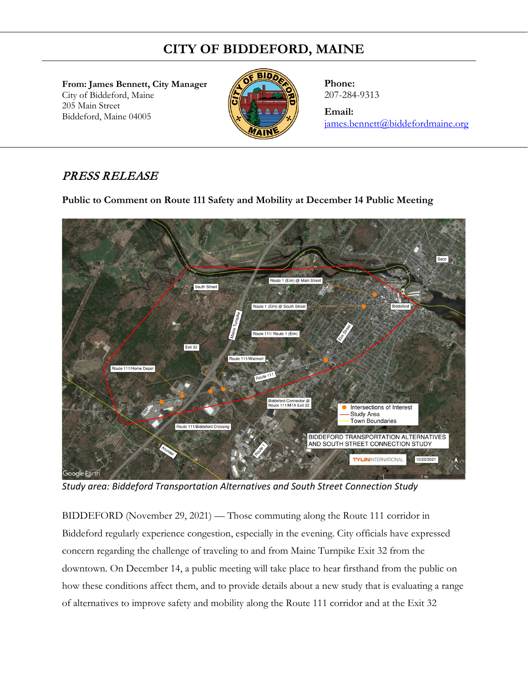## **CITY OF BIDDEFORD, MAINE**

**From: James Bennett, City Manager**  City of Biddeford, Maine 205 Main Street Biddeford, Maine 04005



**Phone:** 207-284-9313

**Email:** [james.bennett@biddefordmaine.org](mailto:james.bennett@biddefordmaine.org)

## PRESS RELEASE

**Public to Comment on Route 111 Safety and Mobility at December 14 Public Meeting** 



*Study area: Biddeford Transportation Alternatives and South Street Connection Study*

BIDDEFORD (November 29, 2021) — Those commuting along the Route 111 corridor in Biddeford regularly experience congestion, especially in the evening. City officials have expressed concern regarding the challenge of traveling to and from Maine Turnpike Exit 32 from the downtown. On December 14, a public meeting will take place to hear firsthand from the public on how these conditions affect them, and to provide details about a new study that is evaluating a range of alternatives to improve safety and mobility along the Route 111 corridor and at the Exit 32